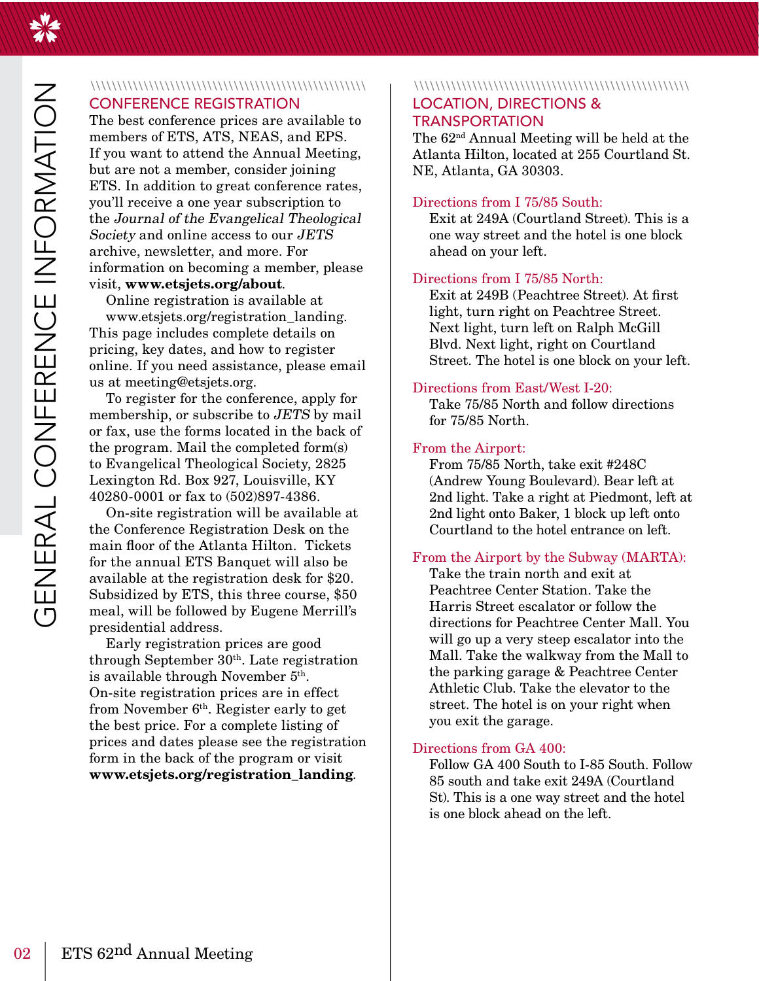### **CONFERENCE REGISTRATION**

The best conference prices are available to members of ETS, ATS, NEAS, and EPS. If you want to attend the Annual Meeting, but are not a member, consider joining ETS. In addition to great conference rates, you'll receive a one year subscription to the Journal of the Evangelical Theological Society and online access to our JETS archive, newsletter, and more. For information on becoming a member, please visit, www.etsjets.org/about.

Online registration is available at

www.etsjets.org/registration landing. This page includes complete details on pricing, key dates, and how to register online. If you need assistance, please email us at meeting@etsjets.org.

To register for the conference, apply for membership, or subscribe to JETS by mail or fax, use the forms located in the back of the program. Mail the completed form(s) to Evangelical Theological Society, 2825 Lexington Rd. Box 927, Louisville, KY 40280-0001 or fax to (502)897-4386.

On-site registration will be available at the Conference Registration Desk on the main floor of the Atlanta Hilton. Tickets for the annual ETS Banquet will also be available at the registration desk for \$20. Subsidized by ETS, this three course, \$50 meal, will be followed by Eugene Merrill's presidential address.

Early registration prices are good through September  $30<sup>th</sup>$ . Late registration is available through November 5<sup>th</sup>. On-site registration prices are in effect from November 6<sup>th</sup>. Register early to get the best price. For a complete listing of prices and dates please see the registration form in the back of the program or visit www.etsjets.org/registration\_landing.

### 

### **LOCATION, DIRECTIONS & TRANSPORTATION**

The 62<sup>nd</sup> Annual Meeting will be held at the Atlanta Hilton, located at 255 Courtland St. NE, Atlanta, GA 30303.

### Directions from I 75/85 South:

Exit at 249A (Courtland Street). This is a one way street and the hotel is one block ahead on your left.

### Directions from I 75/85 North:

Exit at 249B (Peachtree Street). At first light, turn right on Peachtree Street. Next light, turn left on Ralph McGill Blvd. Next light, right on Courtland Street. The hotel is one block on your left.

### Directions from East/West I-20:

Take 75/85 North and follow directions for  $75/85$  North.

### From the Airport:

From 75/85 North, take exit #248C (Andrew Young Boulevard). Bear left at 2nd light. Take a right at Piedmont, left at 2nd light onto Baker, 1 block up left onto Courtland to the hotel entrance on left.

### From the Airport by the Subway (MARTA):

Take the train north and exit at Peachtree Center Station. Take the Harris Street escalator or follow the directions for Peachtree Center Mall. You will go up a very steep escalator into the Mall. Take the walkway from the Mall to the parking garage & Peachtree Center Athletic Club. Take the elevator to the street. The hotel is on your right when you exit the garage.

### Directions from GA 400:

Follow GA 400 South to I-85 South, Follow 85 south and take exit 249A (Courtland St). This is a one way street and the hotel is one block ahead on the left.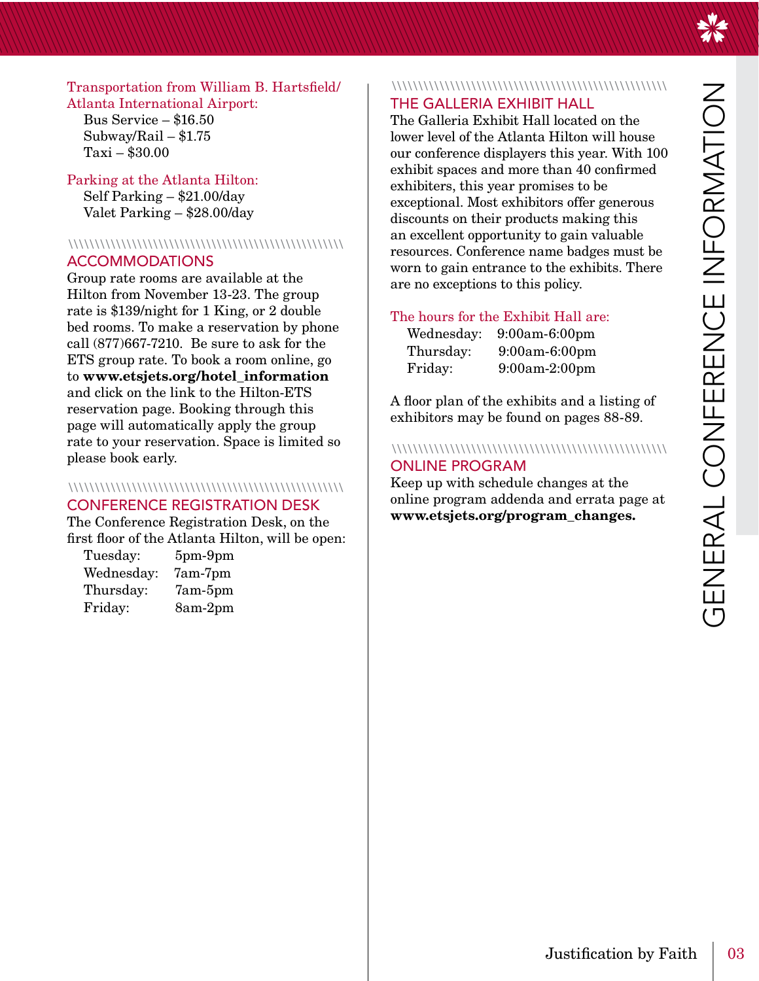Transportation from William B. Hartsfield/ **Atlanta International Airport:** 

Bus Service  $-$  \$16.50 Subway/Rail  $- $1.75$  $Taxi - $30.00$ 

### Parking at the Atlanta Hilton: Self Parking  $-$  \$21.00/day Valet Parking – \$28.00/day

### **ACCOMMODATIONS**

Group rate rooms are available at the Hilton from November 13-23. The group rate is \$139/night for 1 King, or 2 double bed rooms. To make a reservation by phone call  $(877)667-7210$ . Be sure to ask for the ETS group rate. To book a room online, go to www.etsjets.org/hotel information and click on the link to the Hilton-ETS reservation page. Booking through this page will automatically apply the group rate to your reservation. Space is limited so please book early.

### 

### **CONFERENCE REGISTRATION DESK**

The Conference Registration Desk, on the first floor of the Atlanta Hilton, will be open:

| Tuesday:   | $5pm-9pm$ |
|------------|-----------|
| Wednesday: | $7am-7pm$ |
| Thursday:  | $7am-5pm$ |
| Friday:    | 8am-2pm   |

### 

### THE GALLERIA EXHIBIT HALL

The Galleria Exhibit Hall located on the lower level of the Atlanta Hilton will house our conference displayers this year. With 100 exhibit spaces and more than 40 confirmed exhibiters, this year promises to be exceptional. Most exhibitors offer generous discounts on their products making this an excellent opportunity to gain valuable resources. Conference name badges must be worn to gain entrance to the exhibits. There are no exceptions to this policy.

### The hours for the Exhibit Hall are:

| Wednesday: | $9:00am - 6:00pm$ |
|------------|-------------------|
| Thursday:  | $9:00am - 6:00pm$ |
| Friday:    | $9:00am-2:00pm$   |

A floor plan of the exhibits and a listing of exhibitors may be found on pages 88-89.

### **ONLINE PROGRAM**

Keep up with schedule changes at the online program addenda and errata page at www.etsjets.org/program\_changes.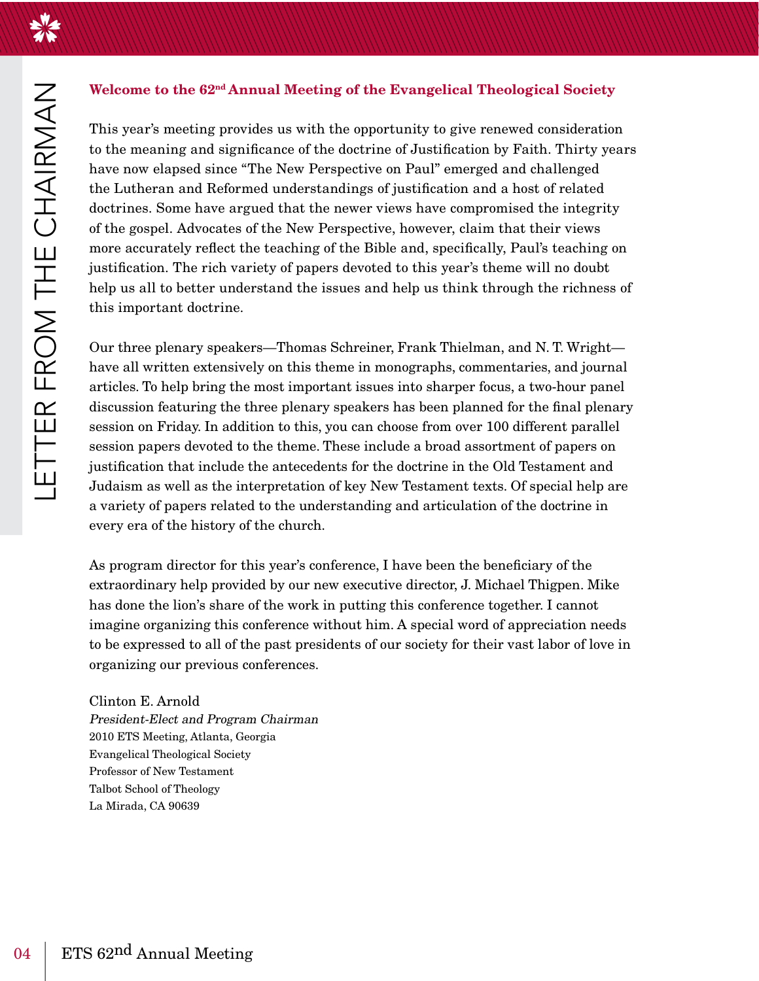LETTER FROM THE CHAIRMAN

### Welcome to the 62<sup>nd</sup> Annual Meeting of the Evangelical Theological Society

This year's meeting provides us with the opportunity to give renewed consideration to the meaning and significance of the doctrine of Justification by Faith. Thirty years have now elapsed since "The New Perspective on Paul" emerged and challenged the Lutheran and Reformed understandings of justification and a host of related doctrines. Some have argued that the newer views have compromised the integrity of the gospel. Advocates of the New Perspective, however, claim that their views more accurately reflect the teaching of the Bible and, specifically, Paul's teaching on justification. The rich variety of papers devoted to this year's theme will no doubt help us all to better understand the issues and help us think through the richness of this important doctrine.

Our three plenary speakers—Thomas Schreiner, Frank Thielman, and N. T. Wright have all written extensively on this theme in monographs, commentaries, and journal articles. To help bring the most important issues into sharper focus, a two-hour panel discussion featuring the three plenary speakers has been planned for the final plenary session on Friday. In addition to this, you can choose from over 100 different parallel session papers devoted to the theme. These include a broad assortment of papers on justification that include the antecedents for the doctrine in the Old Testament and Judaism as well as the interpretation of key New Testament texts. Of special help are a variety of papers related to the understanding and articulation of the doctrine in every era of the history of the church.

As program director for this year's conference, I have been the beneficiary of the extraordinary help provided by our new executive director, J. Michael Thigpen. Mike has done the lion's share of the work in putting this conference together. I cannot imagine organizing this conference without him. A special word of appreciation needs to be expressed to all of the past presidents of our society for their vast labor of love in organizing our previous conferences.

Clinton E. Arnold President-Elect and Program Chairman 2010 ETS Meeting, Atlanta, Georgia **Evangelical Theological Society** Professor of New Testament Talbot School of Theology La Mirada, CA 90639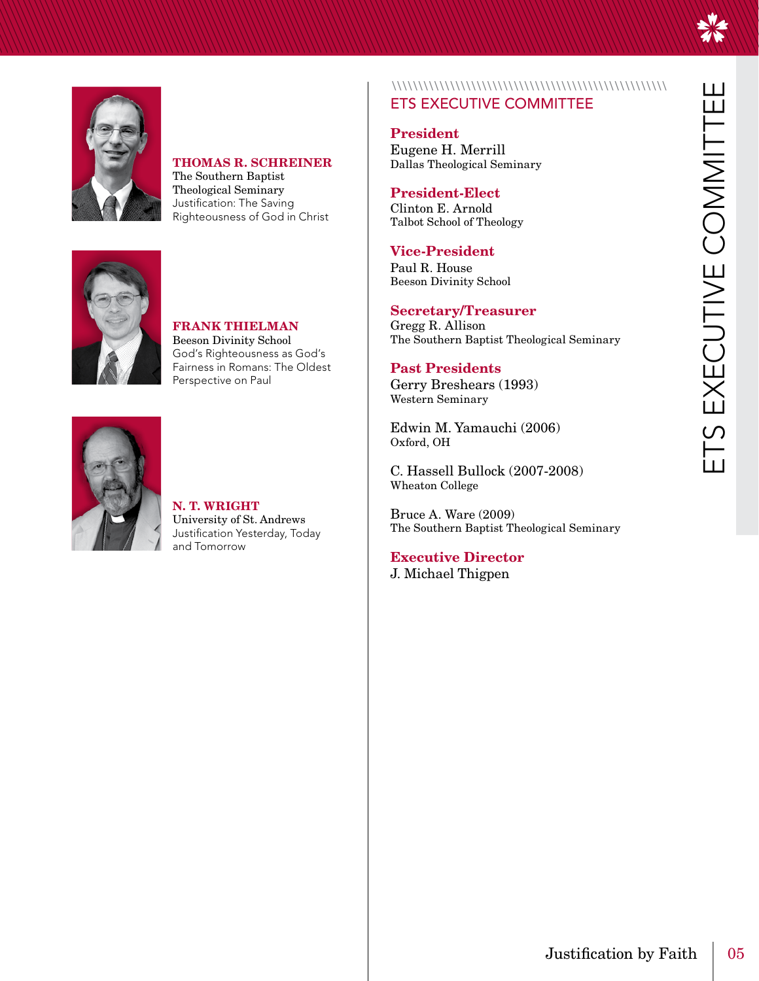### **THOMAS R. SCHREINER**

The Southern Baptist Theological Seminary Justification: The Saving Righteousness of God in Christ



**FRANK THIELMAN Beeson Divinity School** God's Righteousness as God's Fairness in Romans: The Oldest Perspective on Paul



N. T. WRIGHT University of St. Andrews Justification Yesterday, Today

### **ETS EXECUTIVE COMMITTEE**

**President** Eugene H. Merrill Dallas Theological Seminary

### **President-Elect**

Clinton E. Arnold Talbot School of Theology

### **Vice-President**

Paul R. House **Beeson Divinity School** 

### **Secretary/Treasurer**

Gregg R. Allison The Southern Baptist Theological Seminary

### **Past Presidents**

Gerry Breshears (1993) **Western Seminary** 

Edwin M. Yamauchi (2006) Oxford, OH

C. Hassell Bullock (2007-2008) Wheaton College

Bruce A. Ware (2009) The Southern Baptist Theological Seminary

**Executive Director** J. Michael Thigpen

and Tomorrow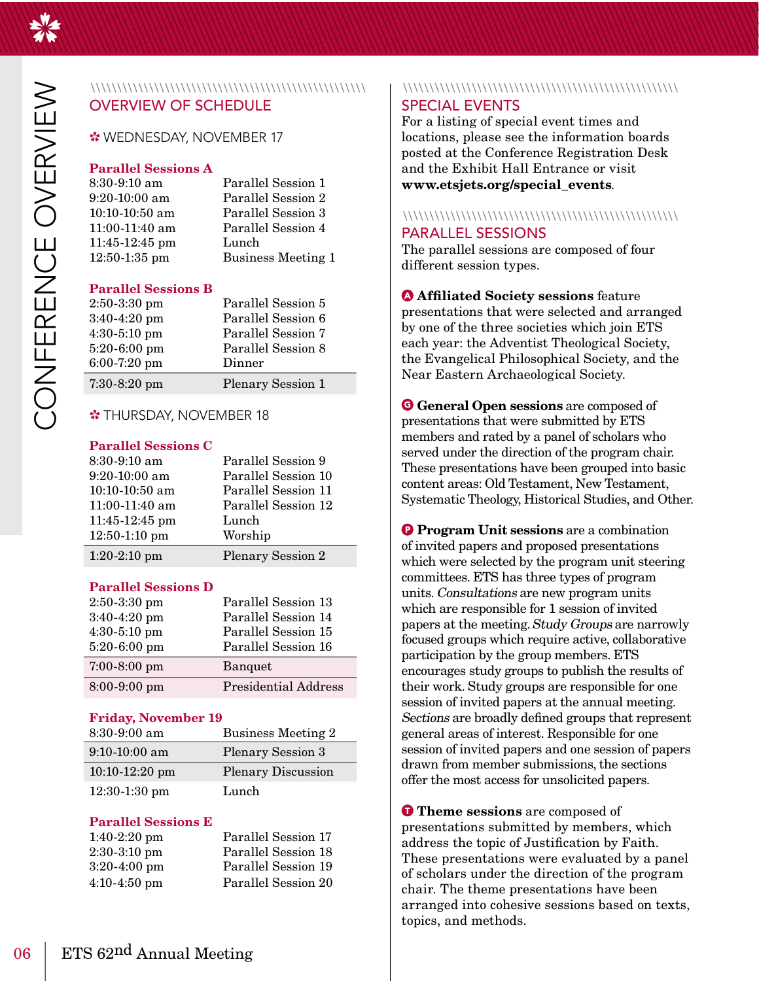

| $8:30-9:10 \text{ am}$ | Parallel Session 1        |
|------------------------|---------------------------|
| $9:20-10:00$ am        | Parallel Session 2        |
| $10:10-10:50$ am       | Parallel Session 3        |
| 11:00-11:40 am         | Parallel Session 4        |
| $11:45-12:45$ pm       | Lunch                     |
| $12:50-1:35$ pm        | <b>Business Meeting 1</b> |
|                        |                           |

### **Parallel Sessions B**

| $2:50-3:30$ pm | Parallel Session 5       |
|----------------|--------------------------|
| $3:40-4:20$ pm | Parallel Session 6       |
| 4:30-5:10 pm   | Parallel Session 7       |
| $5:20-6:00$ pm | Parallel Session 8       |
| 6:00-7:20 pm   | Dinner                   |
| $7:30-8:20$ pm | <b>Plenary Session 1</b> |

### **\*THURSDAY, NOVEMBER 18**

### **Parallel Sessions C**

| 8:30-9:10 am                      | Parallel Session 9                         |
|-----------------------------------|--------------------------------------------|
| $9:20-10:00$ am<br>10:10-10:50 am | Parallel Session 10<br>Parallel Session 11 |
| 11:00-11:40 am                    | Parallel Session 12                        |
| $11:45-12:45$ pm                  | Lunch                                      |
| $12:50-1:10$ pm                   | Worship                                    |
| $1:20-2:10$ pm                    | <b>Plenary Session 2</b>                   |

### **Parallel Sessions D**

| $2:50-3:30$ pm<br>3:40-4:20 pm<br>4:30-5:10 pm<br>5:20-6:00 pm | Parallel Session 13<br>Parallel Session 14<br>Parallel Session 15<br>Parallel Session 16 |
|----------------------------------------------------------------|------------------------------------------------------------------------------------------|
| $7:00-8:00$ pm                                                 | <b>Banquet</b>                                                                           |
| 8:00-9:00 pm                                                   | <b>Presidential Address</b>                                                              |

### **Friday, November 19**

| $8:30-9:00$ am   | <b>Business Meeting 2</b> |
|------------------|---------------------------|
| $9:10-10:00$ am  | <b>Plenary Session 3</b>  |
| $10:10-12:20$ pm | <b>Plenary Discussion</b> |
| $12:30-1:30$ pm  | Lunch                     |
|                  |                           |

### **Parallel Sessions E**

| $1:40-2:20$ pm | Parallel Session 17 |
|----------------|---------------------|
| $2:30-3:10$ pm | Parallel Session 18 |
| $3:20-4:00$ pm | Parallel Session 19 |
| $4:10-4:50$ pm | Parallel Session 20 |

### **SPECIAL EVENTS**

For a listing of special event times and locations, please see the information boards posted at the Conference Registration Desk and the Exhibit Hall Entrance or visit www.etsjets.org/special events.

### 

### **PARALLEL SESSIONS**

The parallel sessions are composed of four different session types.

**Affiliated Society sessions feature** presentations that were selected and arranged by one of the three societies which join ETS each year: the Adventist Theological Society, the Evangelical Philosophical Society, and the Near Eastern Archaeological Society.

**G** General Open sessions are composed of presentations that were submitted by ETS members and rated by a panel of scholars who served under the direction of the program chair. These presentations have been grouped into basic content areas: Old Testament, New Testament, Systematic Theology, Historical Studies, and Other.

**O** Program Unit sessions are a combination of invited papers and proposed presentations which were selected by the program unit steering committees. ETS has three types of program units. Consultations are new program units which are responsible for 1 session of invited papers at the meeting. Study Groups are narrowly focused groups which require active, collaborative participation by the group members. ETS encourages study groups to publish the results of their work. Study groups are responsible for one session of invited papers at the annual meeting. Sections are broadly defined groups that represent general areas of interest. Responsible for one session of invited papers and one session of papers drawn from member submissions, the sections offer the most access for unsolicited papers.

**O** Theme sessions are composed of presentations submitted by members, which address the topic of Justification by Faith. These presentations were evaluated by a panel of scholars under the direction of the program chair. The theme presentations have been arranged into cohesive sessions based on texts, topics, and methods.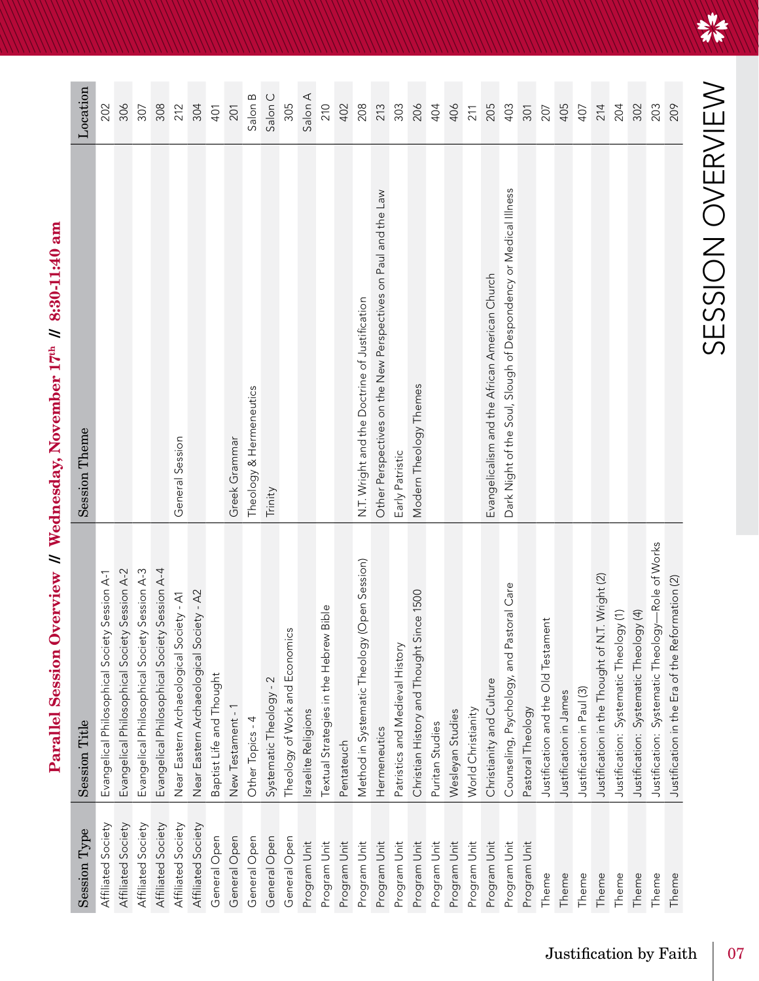Parallel Session Overview // Wednesday, November 17th // 8:30-11:40 am

| Session Type       | <b>Session Title</b>                             | <b>Session Theme</b>                                             | Location |
|--------------------|--------------------------------------------------|------------------------------------------------------------------|----------|
| Affiliated Society | Evangelical Philosophical Society Session A-1    |                                                                  | 202      |
| Affiliated Society | Evangelical Philosophical Society Session A-2    |                                                                  | 306      |
| Affiliated Society | Evangelical Philosophical Society Session A-3    |                                                                  | 307      |
| Affiliated Society | Evangelical Philosophical Society Session A-4    |                                                                  | 308      |
| Affiliated Society | Near Eastern Archaeological Society - A1         | General Session                                                  | 212      |
| Affiliated Society | Near Eastern Archaeological Society - A2         |                                                                  | 304      |
| General Open       | Baptist Life and Thought                         |                                                                  | 401      |
| General Open       | New Testament - 1                                | Greek Grammar                                                    | 201      |
| General Open       | Other Topics - 4                                 | Theology & Hermeneutics                                          | Salon B  |
| General Open       | Systematic Theology - 2                          | Trinity                                                          | Salon C  |
| General Open       | Theology of Work and Economics                   |                                                                  | 305      |
| Program Unit       | sraelite Religions                               |                                                                  | Salon A  |
| Program Unit       | Textual Strategies in the Hebrew Bible           |                                                                  | 210      |
| Program Unit       | Pentateuch                                       |                                                                  | 402      |
| Program Unit       | Method in Systematic Theology (Open Session)     | N.T. Wright and the Doctrine of Justification                    | 208      |
| Program Unit       | Hermeneutics                                     | Other Perspectives on the New Perspectives on Paul and the Law   | 213      |
| Program Unit       | Patristics and Medieval History                  | Early Patristic                                                  | 303      |
| Program Unit       | Christian History and Thought Since 1500         | Modern Theology Themes                                           | 206      |
| Program Unit       | Puritan Studies                                  |                                                                  | 404      |
| Program Unit       | Wesleyan Studies                                 |                                                                  | 406      |
| Program Unit       | World Christianity                               |                                                                  | 211      |
| Program Unit       | Christianity and Culture                         | Evangelicalism and the African American Church                   | 205      |
| Program Unit       | astoral Care<br>Counseling, Psychology, and Pa   | Dark Night of the Soul, Slough of Despondency or Medical Illness | 403      |
| Program Unit       | Pastoral Theology                                |                                                                  | 301      |
| Theme              | Justification and the Old Testament              |                                                                  | 207      |
| Theme              | Justification in James                           |                                                                  | 405      |
| Theme              | Justification in Paul (3)                        |                                                                  | 407      |
| Theme              | Justification in the Thought of N.T. Wright (2)  |                                                                  | 214      |
| Theme              | Justification: Systematic Theology (1)           |                                                                  | 204      |
| Theme              | Justification: Systematic Theology (4)           |                                                                  | 302      |
| Theme              | Justification: Systematic Theology-Role of Works |                                                                  | 203      |
| Theme              | Justification in the Era of the Reformation (2)  |                                                                  | 209      |

美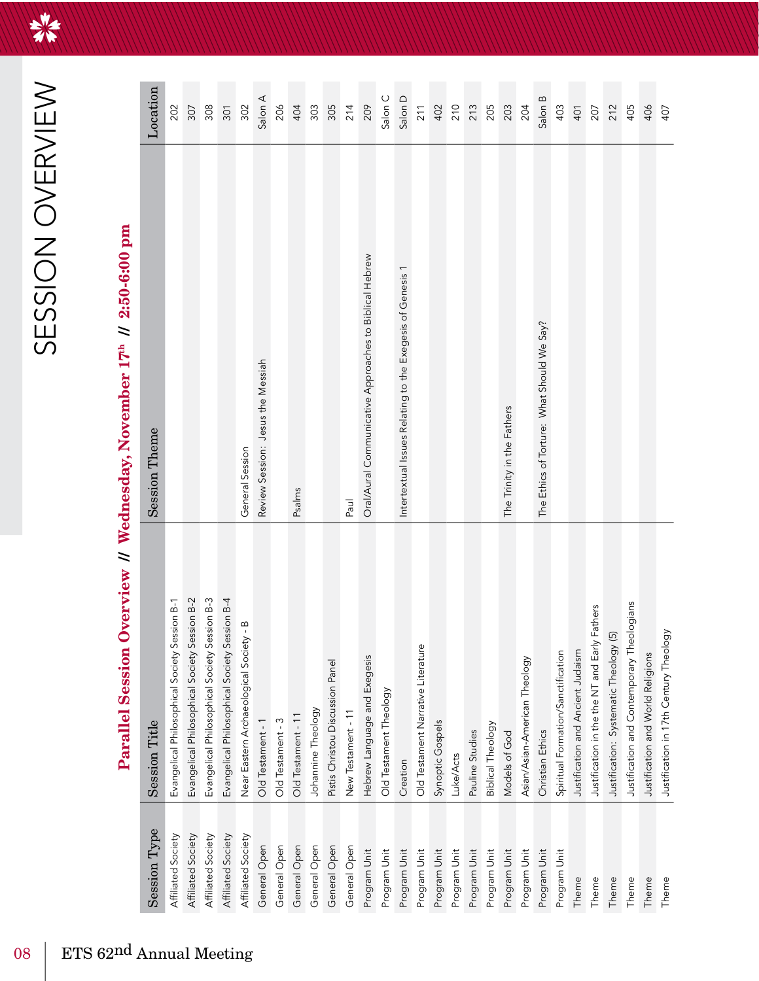HAT

| Session Type       | <b>Session Title</b>                          | <b>Session Theme</b>                                      | Location |
|--------------------|-----------------------------------------------|-----------------------------------------------------------|----------|
| Affiliated Society | Evangelical Philosophical Society Session B-1 |                                                           | 202      |
| Affiliated Society | Evangelical Philosophical Society Session B-2 |                                                           | 307      |
| Affiliated Society | Evangelical Philosophical Society Session B-3 |                                                           | 308      |
| Affiliated Society | Evangelical Philosophical Society Session B-4 |                                                           | 301      |
| Affiliated Society | Near Eastern Archaeological Society - B       | General Session                                           | 302      |
| General Open       | Old Testament - 1                             | Review Session: Jesus the Messiah                         | Salon A  |
| General Open       | Old Testament - 3                             |                                                           | 206      |
| General Open       | Old Testament - 11                            | Psalms                                                    | 404      |
| General Open       | Johannine Theology                            |                                                           | 303      |
| General Open       | Pistis Christou Discussion Panel              |                                                           | 305      |
| General Open       | New Testament - 11                            | Paul                                                      | 214      |
| Program Unit       | Hebrew Language and Exegesis                  | Oral/Aural Communicative Approaches to Biblical Hebrew    | 209      |
| Program Unit       | Old Testament Theology                        |                                                           | Salon C  |
| Program Unit       | Creation                                      | Intertextual Issues Relating to the Exegesis of Genesis 1 | Salon D  |
| Program Unit       | Old Testament Narrative Literature            |                                                           | 211      |
| Program Unit       | Synoptic Gospels                              |                                                           | 402      |
| Program Unit       | Luke/Acts                                     |                                                           |          |
| Program Unit       | Pauline Studies                               |                                                           | 210      |
| Program Unit       | <b>Biblical Theology</b>                      |                                                           | 205      |
| Program Unit       | Models of God                                 | The Trinity in the Fathers                                | 203      |
| Program Unit       | Asian/Asian-American Theology                 |                                                           | 204      |
| Program Unit       | Christian Ethics                              | The Ethics of Torture: What Should We Say?                | Salon B  |
| Program Unit       | Spiritual Formation/Sanctification            |                                                           | 403      |
| Theme              | Justification and Ancient Judaism             |                                                           | 401      |
| Theme              | Justification in the the NT and Early Fathers |                                                           | 207      |
| Theme              | Justification: Systematic Theology (5)        |                                                           | 212      |
| Theme              | Justification and Contemporary Theologians    |                                                           | 405      |
| Theme              | Justification and World Religions             |                                                           | 406      |
| Theme              | Justification in 17th Century Theology        |                                                           | 407      |
|                    |                                               |                                                           |          |

# Parallel Session Overview // Wednesday, November 17<sup>th</sup> // 2:50-6:00 pm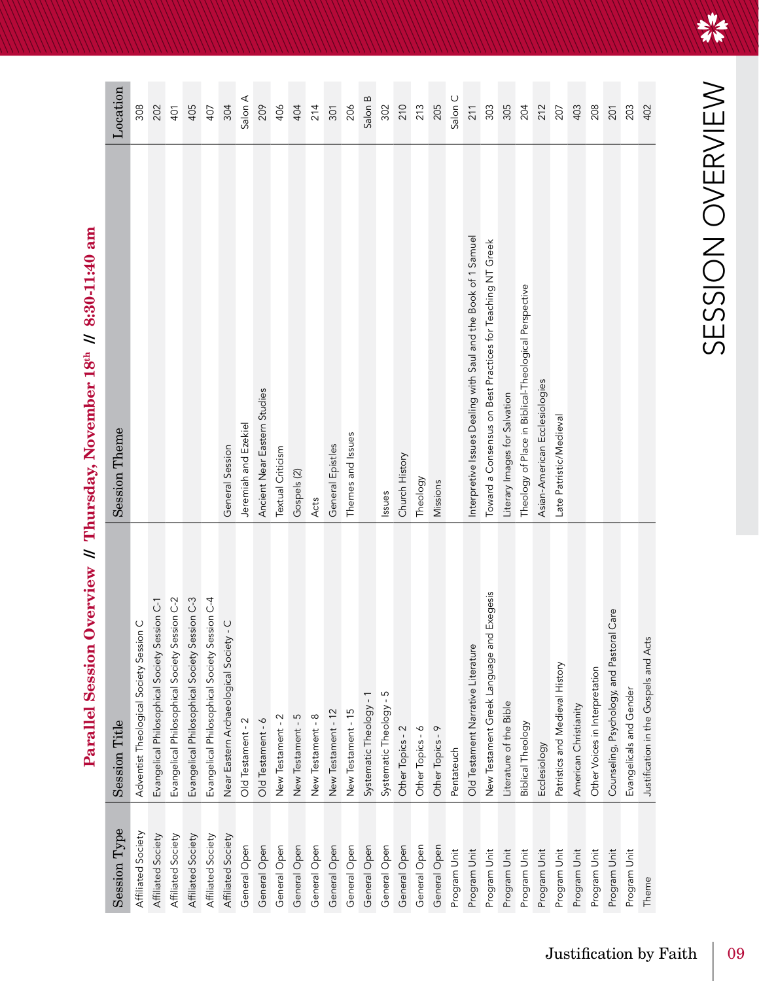Parallel Session Overview // Thursday, November 18th // 8:30-11:40 am

| Session Type       | <b>Session Title</b>                                  | <b>Session Theme</b>                                           | Location   |
|--------------------|-------------------------------------------------------|----------------------------------------------------------------|------------|
| Affiliated Society | Adventist Theological Society Session C               |                                                                | 308        |
| Affiliated Society | Evangelical Philosophical Society Session C-1         |                                                                | 202        |
| Affiliated Society | Evangelical Philosophical Society Session C-2         |                                                                | 401        |
| Affiliated Society | Evangelical Philosophical Society Session C-3         |                                                                | 405        |
| Affiliated Society | Evangelical Philosophical Society Session C-4         |                                                                | 407        |
| Affiliated Society | $\overline{C}$<br>Near Eastern Archaeological Society | General Session                                                | 304        |
| General Open       | Old Testament - 2                                     | Jeremiah and Ezekiel                                           | Salon A    |
| General Open       | Old Testament - 6                                     | Ancient Near Eastern Studies                                   | 209        |
| General Open       | New Testament - 2                                     | Textual Criticism                                              | 406        |
| General Open       | New Testament - 5                                     | Gospels (2)                                                    | 404        |
| General Open       | New Testament - 8                                     | Acts                                                           | 214        |
| General Open       | New Testament - 12                                    | General Epistles                                               | 301        |
| General Open       | New Testament - 15                                    | Themes and Issues                                              | 206        |
| General Open       | Systematic Theology - 1                               |                                                                | Salon B    |
| General Open       | Systematic Theology - 5                               | Issues                                                         | 302        |
| General Open       | Other Topics - 2                                      | Church History                                                 | 210        |
| General Open       | Other Topics - 6                                      | Theology                                                       | 213        |
| General Open       | Other Topics - 9                                      | Missions                                                       | 205        |
| Program Unit       | Pentateuch                                            |                                                                | Salon C    |
| Program Unit       | Old Testament Narrative Literature                    | Interpretive Issues Dealing with Saul and the Book of 1 Samuel | 211        |
| Program Unit       | New Testament Greek Language and Exegesis             | Toward a Consensus on Best Practices for Teaching NT Greek     | 303        |
| Program Unit       | Literature of the Bible                               | Literary Images for Salvation                                  | 305        |
| Program Unit       | <b>Biblical Theology</b>                              | Theology of Place in Biblical-Theological Perspective          | 204        |
| Program Unit       | Ecclesiology                                          | Asian-American Ecclesiologies                                  | 212        |
| Program Unit       | Patristics and Medieval History                       | Late Patristic/Medieval                                        | 207        |
| Program Unit       | American Christianity                                 |                                                                | 403        |
| Program Unit       | Other Voices in Interpretation                        |                                                                | 208        |
| Program Unit       | Counseling, Psychology, and Pastoral Care             |                                                                | <b>201</b> |
| Program Unit       | Evangelicals and Gender                               |                                                                | 203        |
| Theme              | Justification in the Gospels and Acts                 |                                                                | 402        |

美术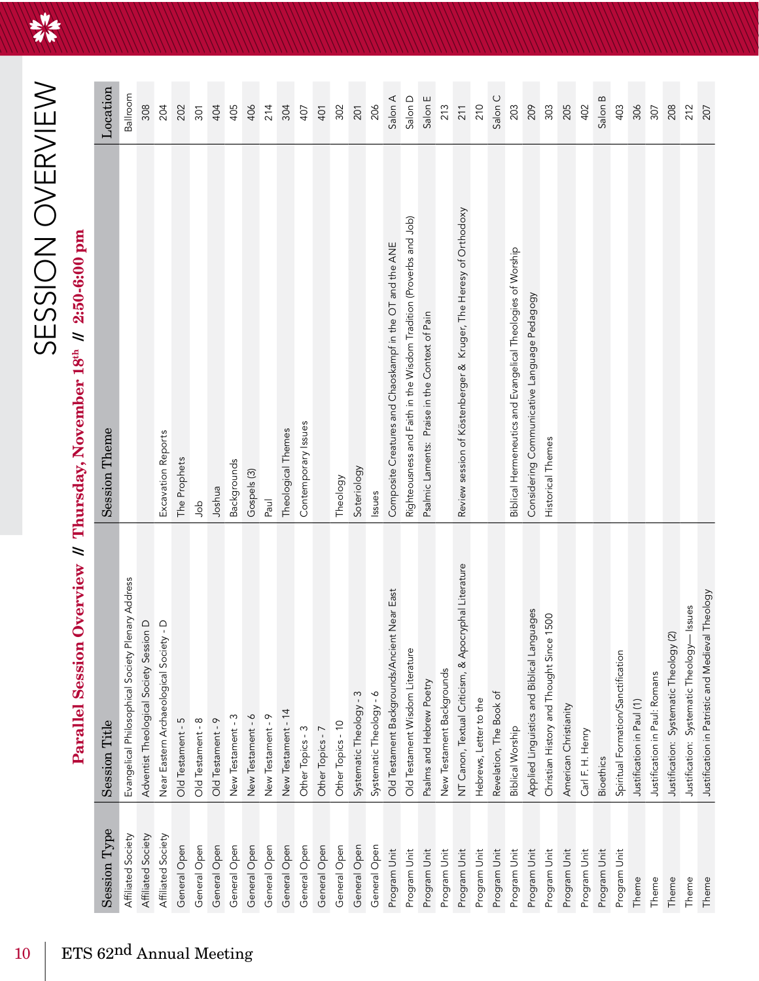HAT

### SESSION OVERVIEW

# Parallel Session Overview // Thursday, November 18<sup>th</sup> // 2:50-6:00 pm

| Session Type       | <b>Session Title</b>                                  | <b>Session Theme</b>                                               | Location |
|--------------------|-------------------------------------------------------|--------------------------------------------------------------------|----------|
| Affiliated Society | Evangelical Philosophical Society Plenary Address     |                                                                    | Ballroom |
| Affiliated Society | Adventist Theological Society Session D               |                                                                    | 308      |
| Affiliated Society | $\overline{C}$<br>Near Eastern Archaeological Society | Excavation Reports                                                 | 204      |
| General Open       | Old Testament - 5                                     | The Prophets                                                       | 202      |
| General Open       | Old Testament - 8                                     | dob                                                                | 301      |
| General Open       | Old Testament - 9                                     | Joshua                                                             | 404      |
| General Open       | New Testament - 3                                     | Backgrounds                                                        | 405      |
| General Open       | New Testament - 6                                     | Gospels (3)                                                        | 406      |
| General Open       | New Testament - 9                                     | Paul                                                               | 214      |
| General Open       | New Testament - 14                                    | Theological Themes                                                 | 304      |
| General Open       | Other Topics - 3                                      | Contemporary Issues                                                | 407      |
| General Open       | Other Topics - 7                                      |                                                                    | 401      |
| General Open       | Other Topics - 10                                     | Theology                                                           | 302      |
| General Open       | Systematic Theology - 3                               | Soteriology                                                        | 201      |
| General Open       | Systematic Theology - 6                               | Issues                                                             | 206      |
| Program Unit       | Old Testament Backgrounds/Ancient Near East           | Composite Creatures and Chaoskampf in the OT and the ANE           | Salon A  |
| Program Unit       | Old Testament Wisdom Literature                       | Righteousness and Faith in the Wisdom Tradition (Proverbs and Job) | Salon D  |
| Program Unit       | Psalms and Hebrew Poetry                              | Psalmic Laments: Praise in the Context of Pain                     | Salon E  |
| Program Unit       | New Testament Backgrounds                             |                                                                    | 213      |
| Program Unit       | NT Canon, Textual Criticism, & Apocryphal Literature  | Review session of Köstenberger & Kruger, The Heresy of Orthodoxy   | 211      |
| Program Unit       | Hebrews, Letter to the                                |                                                                    | 210      |
| Program Unit       | Revelation, The Book of                               |                                                                    | Salon C  |
| Program Unit       | <b>Biblical Worship</b>                               | Biblical Hermeneutics and Evangelical Theologies of Worship        | 203      |
| Program Unit       | Applied Linguistics and Biblical Languages            | Considering Communicative Language Pedagogy                        | 209      |
| Program Unit       | Christian History and Thought Since 1500              | Historical Themes                                                  | 303      |
| Program Unit       | American Christianity                                 |                                                                    | 205      |
| Program Unit       | Carl F. H. Henry                                      |                                                                    | 402      |
| Program Unit       | Bioethics                                             |                                                                    | Salon B  |
| Program Unit       | Spiritual Formation/Sanctification                    |                                                                    | 403      |
| Theme              | Justification in Paul (1)                             |                                                                    | 306      |
| Theme              | Justification in Paul: Romans                         |                                                                    | 307      |
| Theme              | Justification: Systematic Theology (2)                |                                                                    | 208      |
| Theme              | - Issues<br>Justification: Systematic Theology-       |                                                                    | 212      |
| Theme              | Justification in Patristic and Medieval Theology      |                                                                    | 207      |

 $10$